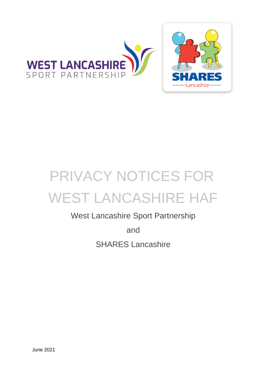

# West Lancashire Sport Partnership

and SHARES Lancashire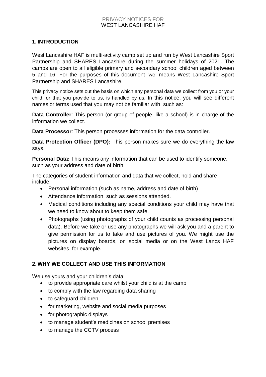#### **1. INTRODUCTION**

West Lancashire HAF is multi-activity camp set up and run by West Lancashire Sport Partnership and SHARES Lancashire during the summer holidays of 2021. The camps are open to all eligible primary and secondary school children aged between 5 and 16. For the purposes of this document 'we' means West Lancashire Sport Partnership and SHARES Lancashire.

This privacy notice sets out the basis on which any personal data we collect from you or your child, or that you provide to us, is handled by us. In this notice, you will see different names or terms used that you may not be familiar with, such as:

**Data Controller**: This person (or group of people, like a school) is in charge of the information we collect.

**Data Processor**: This person processes information for the data controller.

**Data Protection Officer (DPO):** This person makes sure we do everything the law says.

**Personal Data:** This means any information that can be used to identify someone, such as your address and date of birth.

The categories of student information and data that we collect, hold and share include:

- Personal information (such as name, address and date of birth)
- Attendance information, such as sessions attended.
- Medical conditions including any special conditions your child may have that we need to know about to keep them safe.
- Photographs (using photographs of your child counts as processing personal data). Before we take or use any photographs we will ask you and a parent to give permission for us to take and use pictures of you. We might use the pictures on display boards, on social media or on the West Lancs HAF websites, for example.

## **2. WHY WE COLLECT AND USE THIS INFORMATION**

We use yours and your children's data:

- to provide appropriate care whilst your child is at the camp
- to comply with the law regarding data sharing
- to safeguard children
- for marketing, website and social media purposes
- for photographic displays
- to manage student's medicines on school premises
- to manage the CCTV process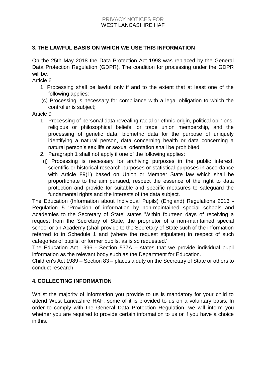## **3. THE LAWFUL BASIS ON WHICH WE USE THIS INFORMATION**

On the 25th May 2018 the Data Protection Act 1998 was replaced by the General Data Protection Regulation (GDPR). The condition for processing under the GDPR will be:

Article 6

- 1. Processing shall be lawful only if and to the extent that at least one of the following applies:
- (c) Processing is necessary for compliance with a legal obligation to which the controller is subject;

Article 9

- 1. Processing of personal data revealing racial or ethnic origin, political opinions, religious or philosophical beliefs, or trade union membership, and the processing of genetic data, biometric data for the purpose of uniquely identifying a natural person, data concerning health or data concerning a natural person's sex life or sexual orientation shall be prohibited.
- 2. Paragraph 1 shall not apply if one of the following applies:
	- (j) Processing is necessary for archiving purposes in the public interest, scientific or historical research purposes or statistical purposes in accordance with Article 89(1) based on Union or Member State law which shall be proportionate to the aim pursued, respect the essence of the right to data protection and provide for suitable and specific measures to safeguard the fundamental rights and the interests of the data subject.

The Education (Information about Individual Pupils) (England) Regulations 2013 - Regulation 5 'Provision of information by non-maintained special schools and Academies to the Secretary of State' states 'Within fourteen days of receiving a request from the Secretary of State, the proprietor of a non-maintained special school or an Academy (shall provide to the Secretary of State such of the information referred to in Schedule 1 and (where the request stipulates) in respect of such categories of pupils, or former pupils, as is so requested.'

The Education Act 1996 - Section 537A – states that we provide individual pupil information as the relevant body such as the Department for Education.

Children's Act 1989 – Section 83 – places a duty on the Secretary of State or others to conduct research.

## **4. COLLECTING INFORMATION**

Whilst the majority of information you provide to us is mandatory for your child to attend West Lancashire HAF, some of it is provided to us on a voluntary basis. In order to comply with the General Data Protection Regulation, we will inform you whether you are required to provide certain information to us or if you have a choice in this.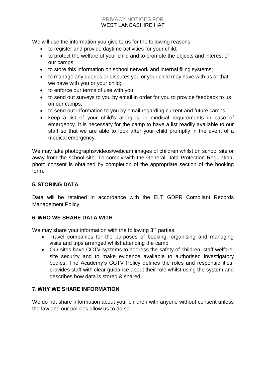We will use the information you give to us for the following reasons:

- to register and provide daytime activities for your child;
- to protect the welfare of your child and to promote the objects and interest of our camps;
- to store this information on school network and internal filing systems;
- to manage any queries or disputes you or your child may have with us or that we have with you or your child;
- to enforce our terms of use with you;
- to send out surveys to you by email in order for you to provide feedback to us on our camps;
- to send out information to you by email regarding current and future camps;
- keep a list of your child's allergies or medical requirements in case of emergency. It is necessary for the camp to have a list readily available to our staff so that we are able to look after your child promptly in the event of a medical emergency.

We may take photographs/videos/webcam images of children whilst on school site or away from the school site. To comply with the General Data Protection Regulation, photo consent is obtained by completion of the appropriate section of the booking form.

# **5. STORING DATA**

Data will be retained in accordance with the ELT GDPR Compliant Records Management Policy.

## **6. WHO WE SHARE DATA WITH**

We may share your information with the following  $3<sup>rd</sup>$  parties,

- Travel companies for the purposes of booking, organising and managing visits and trips arranged whilst attending the camp
- Our sites have CCTV systems to address the safety of children, staff welfare, site security and to make evidence available to authorised investigatory bodies. The Academy's CCTV Policy defines the roles and responsibilities, provides staff with clear guidance about their role whilst using the system and describes how data is stored & shared.

## **7. WHY WE SHARE INFORMATION**

We do not share information about your children with anyone without consent unless the law and our policies allow us to do so.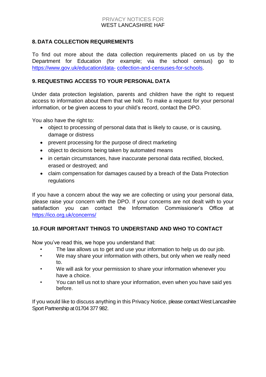## **8. DATA COLLECTION REQUIREMENTS**

To find out more about the data collection requirements placed on us by the Department for Education (for example; via the school census) go to [https://www.gov.uk/education/data-](https://www.gov.uk/education/data-collection-and-censuses-for-schools) [collection-and-censuses-for-schools.](https://www.gov.uk/education/data-collection-and-censuses-for-schools)

## **9. REQUESTING ACCESS TO YOUR PERSONAL DATA**

Under data protection legislation, parents and children have the right to request access to information about them that we hold. To make a request for your personal information, or be given access to your child's record, contact the DPO.

You also have the right to:

- object to processing of personal data that is likely to cause, or is causing, damage or distress
- prevent processing for the purpose of direct marketing
- object to decisions being taken by automated means
- in certain circumstances, have inaccurate personal data rectified, blocked, erased or destroyed; and
- claim compensation for damages caused by a breach of the Data Protection regulations

If you have a concern about the way we are collecting or using your personal data, please raise your concern with the DPO. If your concerns are not dealt with to your satisfaction you can contact the Information Commissioner's Office at <https://ico.org.uk/concerns/>

#### **10.FOUR IMPORTANT THINGS TO UNDERSTAND AND WHO TO CONTACT**

Now you've read this, we hope you understand that:

- The law allows us to get and use your information to help us do our job.
- We may share your information with others, but only when we really need to.
- We will ask for your permission to share your information whenever you have a choice.
- You can tell us not to share your information, even when you have said yes before.

If you would like to discuss anything in this Privacy Notice, please contact West Lancashire Sport Partnership at 01704 377 982.